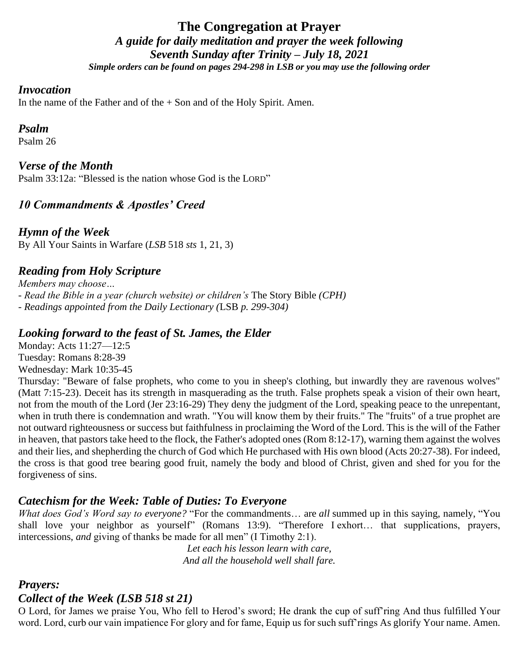# **The Congregation at Prayer** *A guide for daily meditation and prayer the week following Seventh Sunday after Trinity – July 18, 2021 Simple orders can be found on pages 294-298 in LSB or you may use the following order*

#### *Invocation*

In the name of the Father and of the  $+$  Son and of the Holy Spirit. Amen.

#### *Psalm*

Psalm 26

*Verse of the Month*

Psalm 33:12a: "Blessed is the nation whose God is the LORD"

# *10 Commandments & Apostles' Creed*

*Hymn of the Week* By All Your Saints in Warfare (*LSB* 518 *sts* 1, 21, 3)

# *Reading from Holy Scripture*

*Members may choose… - Read the Bible in a year (church website) or children's* The Story Bible *(CPH) - Readings appointed from the Daily Lectionary (*LSB *p. 299-304)*

### *Looking forward to the feast of St. James, the Elder*

Monday: Acts 11:27—12:5 Tuesday: Romans 8:28-39 Wednesday: Mark 10:35-45

Thursday: "Beware of false prophets, who come to you in sheep's clothing, but inwardly they are ravenous wolves" (Matt 7:15-23). Deceit has its strength in masquerading as the truth. False prophets speak a vision of their own heart, not from the mouth of the Lord (Jer 23:16-29) They deny the judgment of the Lord, speaking peace to the unrepentant, when in truth there is condemnation and wrath. "You will know them by their fruits." The "fruits" of a true prophet are not outward righteousness or success but faithfulness in proclaiming the Word of the Lord. This is the will of the Father in heaven, that pastors take heed to the flock, the Father's adopted ones (Rom 8:12-17), warning them against the wolves and their lies, and shepherding the church of God which He purchased with His own blood (Acts 20:27-38). For indeed, the cross is that good tree bearing good fruit, namely the body and blood of Christ, given and shed for you for the forgiveness of sins.

### *Catechism for the Week: Table of Duties: To Everyone*

*What does God's Word say to everyone?* "For the commandments… are *all* summed up in this saying, namely, "You shall love your neighbor as yourself" (Romans 13:9). "Therefore I exhort... that supplications, prayers, intercessions, *and* giving of thanks be made for all men" (I Timothy 2:1).

> *Let each his lesson learn with care, And all the household well shall fare.*

### *Prayers:*

### *Collect of the Week (LSB 518 st 21)*

O Lord, for James we praise You, Who fell to Herod's sword; He drank the cup of suff'ring And thus fulfilled Your word. Lord, curb our vain impatience For glory and for fame, Equip us for such suff'rings As glorify Your name. Amen.